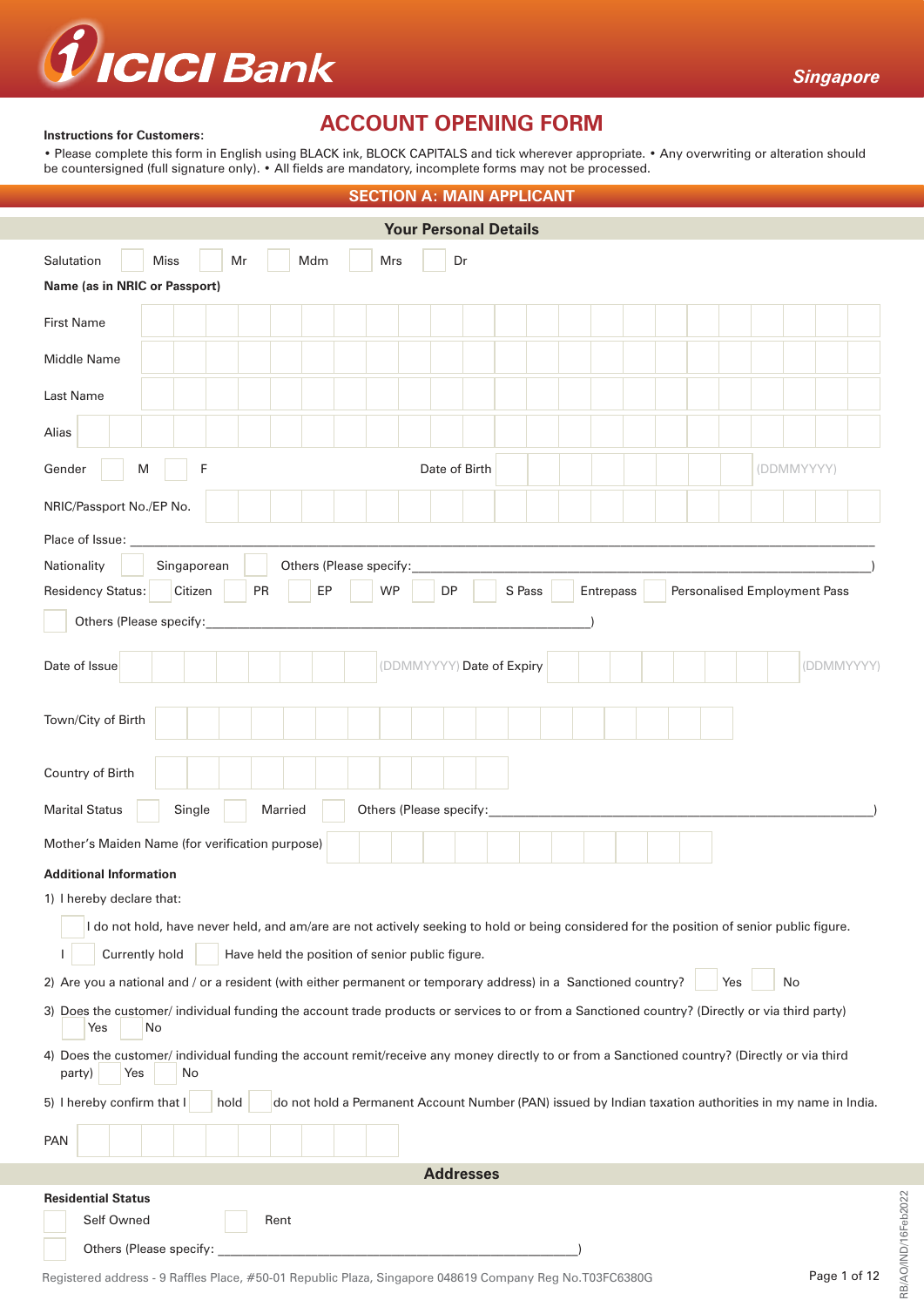

#### **Instructions for Customers:**

# **ACCOUNT OPENING FORM**

• Please complete this form in English using BLACK ink, BLOCK CAPITALS and tick wherever appropriate. • Any overwriting or alteration should be countersigned (full signature only). • All fields are mandatory, incomplete forms may not be processed.

| <b>SECTION A: MAIN APPLICANT</b>                                                                                                                                                                                                                                             |  |  |  |  |  |  |  |
|------------------------------------------------------------------------------------------------------------------------------------------------------------------------------------------------------------------------------------------------------------------------------|--|--|--|--|--|--|--|
| <b>Your Personal Details</b>                                                                                                                                                                                                                                                 |  |  |  |  |  |  |  |
| Mr<br>Salutation<br><b>Miss</b><br>Mdm<br>Mrs<br>Dr                                                                                                                                                                                                                          |  |  |  |  |  |  |  |
| Name (as in NRIC or Passport)                                                                                                                                                                                                                                                |  |  |  |  |  |  |  |
| First Name                                                                                                                                                                                                                                                                   |  |  |  |  |  |  |  |
| Middle Name                                                                                                                                                                                                                                                                  |  |  |  |  |  |  |  |
| Last Name                                                                                                                                                                                                                                                                    |  |  |  |  |  |  |  |
| Alias                                                                                                                                                                                                                                                                        |  |  |  |  |  |  |  |
| F<br>Gender<br>Date of Birth<br>(DDMMYYYY)<br>M                                                                                                                                                                                                                              |  |  |  |  |  |  |  |
| NRIC/Passport No./EP No.                                                                                                                                                                                                                                                     |  |  |  |  |  |  |  |
| Place of Issue: ____                                                                                                                                                                                                                                                         |  |  |  |  |  |  |  |
| Nationality<br>Singaporean<br>Others (Please specify:                                                                                                                                                                                                                        |  |  |  |  |  |  |  |
| <b>Residency Status:</b><br>Citizen<br>PR<br>EP<br><b>WP</b><br>DP<br>S Pass<br>Entrepass<br>Personalised Employment Pass                                                                                                                                                    |  |  |  |  |  |  |  |
| Others (Please specify:                                                                                                                                                                                                                                                      |  |  |  |  |  |  |  |
| (DDMMYYYY) Date of Expiry<br>Date of Issue<br>(DDMMYYYY)                                                                                                                                                                                                                     |  |  |  |  |  |  |  |
| Town/City of Birth                                                                                                                                                                                                                                                           |  |  |  |  |  |  |  |
| Country of Birth                                                                                                                                                                                                                                                             |  |  |  |  |  |  |  |
| Others (Please specify:<br><b>Marital Status</b><br>Single<br>Married                                                                                                                                                                                                        |  |  |  |  |  |  |  |
| Mother's Maiden Name (for verification purpose)                                                                                                                                                                                                                              |  |  |  |  |  |  |  |
| <b>Additional Information</b><br>1) I hereby declare that:<br>I do not hold, have never held, and am/are are not actively seeking to hold or being considered for the position of senior public figure.<br>Currently hold<br>Have held the position of senior public figure. |  |  |  |  |  |  |  |
| 2) Are you a national and / or a resident (with either permanent or temporary address) in a Sanctioned country?<br>Yes<br>No                                                                                                                                                 |  |  |  |  |  |  |  |
| 3) Does the customer/ individual funding the account trade products or services to or from a Sanctioned country? (Directly or via third party)<br>Yes<br>No                                                                                                                  |  |  |  |  |  |  |  |
| 4) Does the customer/ individual funding the account remit/receive any money directly to or from a Sanctioned country? (Directly or via third<br>party)<br>Yes<br>No                                                                                                         |  |  |  |  |  |  |  |
| 5) I hereby confirm that I<br>do not hold a Permanent Account Number (PAN) issued by Indian taxation authorities in my name in India.<br>hold                                                                                                                                |  |  |  |  |  |  |  |
| <b>PAN</b>                                                                                                                                                                                                                                                                   |  |  |  |  |  |  |  |
| <b>Addresses</b>                                                                                                                                                                                                                                                             |  |  |  |  |  |  |  |
| <b>Residential Status</b>                                                                                                                                                                                                                                                    |  |  |  |  |  |  |  |
| Self Owned<br>Rent                                                                                                                                                                                                                                                           |  |  |  |  |  |  |  |
| Others (Please specify:                                                                                                                                                                                                                                                      |  |  |  |  |  |  |  |

RB/AO/IND/16Feb2022

RB/AO/IND/16Feb2022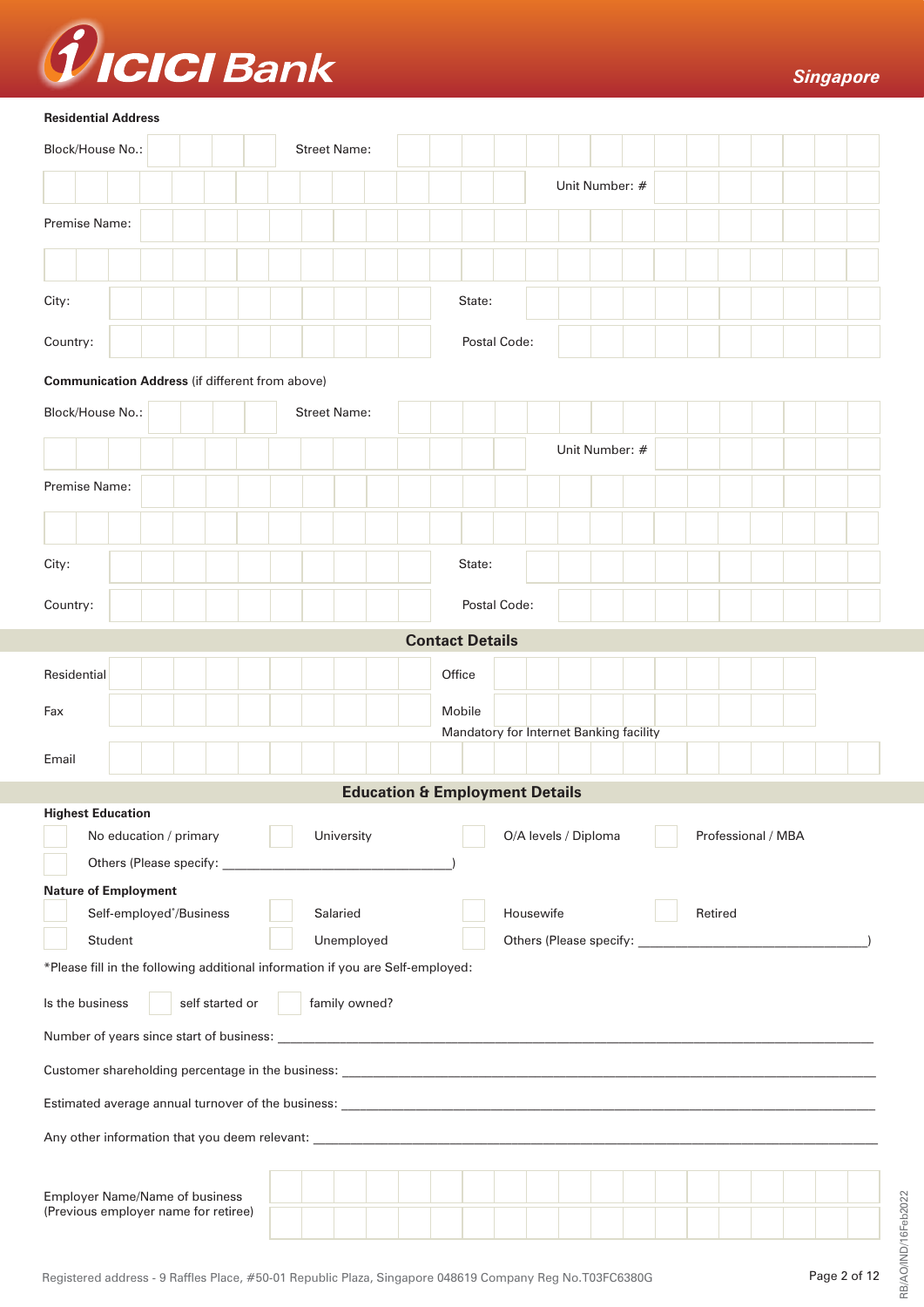

#### **Residential Address**

| Block/House No.:                                                               |                                                                               |  |  |  |  |  |  |  | <b>Street Name:</b> |  |        |                        |                                           |  |                      |  |  |  |  |                    |  |  |
|--------------------------------------------------------------------------------|-------------------------------------------------------------------------------|--|--|--|--|--|--|--|---------------------|--|--------|------------------------|-------------------------------------------|--|----------------------|--|--|--|--|--------------------|--|--|
|                                                                                |                                                                               |  |  |  |  |  |  |  |                     |  |        |                        |                                           |  | Unit Number: #       |  |  |  |  |                    |  |  |
|                                                                                |                                                                               |  |  |  |  |  |  |  |                     |  |        |                        |                                           |  |                      |  |  |  |  |                    |  |  |
| Premise Name:                                                                  |                                                                               |  |  |  |  |  |  |  |                     |  |        |                        |                                           |  |                      |  |  |  |  |                    |  |  |
|                                                                                |                                                                               |  |  |  |  |  |  |  |                     |  |        |                        |                                           |  |                      |  |  |  |  |                    |  |  |
| City:                                                                          |                                                                               |  |  |  |  |  |  |  |                     |  |        | State:                 |                                           |  |                      |  |  |  |  |                    |  |  |
| Country:                                                                       |                                                                               |  |  |  |  |  |  |  |                     |  |        |                        | Postal Code:                              |  |                      |  |  |  |  |                    |  |  |
| <b>Communication Address (if different from above)</b>                         |                                                                               |  |  |  |  |  |  |  |                     |  |        |                        |                                           |  |                      |  |  |  |  |                    |  |  |
| Block/House No.:                                                               |                                                                               |  |  |  |  |  |  |  | <b>Street Name:</b> |  |        |                        |                                           |  |                      |  |  |  |  |                    |  |  |
|                                                                                |                                                                               |  |  |  |  |  |  |  |                     |  |        |                        |                                           |  | Unit Number: #       |  |  |  |  |                    |  |  |
| Premise Name:                                                                  |                                                                               |  |  |  |  |  |  |  |                     |  |        |                        |                                           |  |                      |  |  |  |  |                    |  |  |
|                                                                                |                                                                               |  |  |  |  |  |  |  |                     |  |        |                        |                                           |  |                      |  |  |  |  |                    |  |  |
| City:                                                                          |                                                                               |  |  |  |  |  |  |  |                     |  |        | State:                 |                                           |  |                      |  |  |  |  |                    |  |  |
| Country:                                                                       |                                                                               |  |  |  |  |  |  |  |                     |  |        |                        | Postal Code:                              |  |                      |  |  |  |  |                    |  |  |
|                                                                                |                                                                               |  |  |  |  |  |  |  |                     |  |        | <b>Contact Details</b> |                                           |  |                      |  |  |  |  |                    |  |  |
| Residential                                                                    |                                                                               |  |  |  |  |  |  |  |                     |  | Office |                        |                                           |  |                      |  |  |  |  |                    |  |  |
| Fax                                                                            |                                                                               |  |  |  |  |  |  |  |                     |  |        | Mobile                 | Mandatory for Internet Banking facility   |  |                      |  |  |  |  |                    |  |  |
| Email                                                                          |                                                                               |  |  |  |  |  |  |  |                     |  |        |                        |                                           |  |                      |  |  |  |  |                    |  |  |
|                                                                                |                                                                               |  |  |  |  |  |  |  |                     |  |        |                        | <b>Education &amp; Employment Details</b> |  |                      |  |  |  |  |                    |  |  |
| <b>Highest Education</b>                                                       |                                                                               |  |  |  |  |  |  |  |                     |  |        |                        |                                           |  |                      |  |  |  |  |                    |  |  |
|                                                                                | No education / primary                                                        |  |  |  |  |  |  |  | University          |  |        |                        |                                           |  | O/A levels / Diploma |  |  |  |  | Professional / MBA |  |  |
| <b>Nature of Employment</b>                                                    |                                                                               |  |  |  |  |  |  |  |                     |  |        |                        |                                           |  |                      |  |  |  |  |                    |  |  |
|                                                                                | Self-employed*/Business                                                       |  |  |  |  |  |  |  | Salaried            |  |        |                        | Housewife<br>Retired                      |  |                      |  |  |  |  |                    |  |  |
|                                                                                | Student                                                                       |  |  |  |  |  |  |  | Unemployed          |  |        |                        |                                           |  |                      |  |  |  |  |                    |  |  |
| *Please fill in the following additional information if you are Self-employed: |                                                                               |  |  |  |  |  |  |  |                     |  |        |                        |                                           |  |                      |  |  |  |  |                    |  |  |
| family owned?<br>self started or<br>Is the business                            |                                                                               |  |  |  |  |  |  |  |                     |  |        |                        |                                           |  |                      |  |  |  |  |                    |  |  |
|                                                                                |                                                                               |  |  |  |  |  |  |  |                     |  |        |                        |                                           |  |                      |  |  |  |  |                    |  |  |
|                                                                                |                                                                               |  |  |  |  |  |  |  |                     |  |        |                        |                                           |  |                      |  |  |  |  |                    |  |  |
|                                                                                |                                                                               |  |  |  |  |  |  |  |                     |  |        |                        |                                           |  |                      |  |  |  |  |                    |  |  |
|                                                                                |                                                                               |  |  |  |  |  |  |  |                     |  |        |                        |                                           |  |                      |  |  |  |  |                    |  |  |
|                                                                                |                                                                               |  |  |  |  |  |  |  |                     |  |        |                        |                                           |  |                      |  |  |  |  |                    |  |  |
|                                                                                | <b>Employer Name/Name of business</b><br>(Previous employer name for retiree) |  |  |  |  |  |  |  |                     |  |        |                        |                                           |  |                      |  |  |  |  |                    |  |  |

RB/AO/IND/16Feb2022

RB/AO/IND/16Feb2022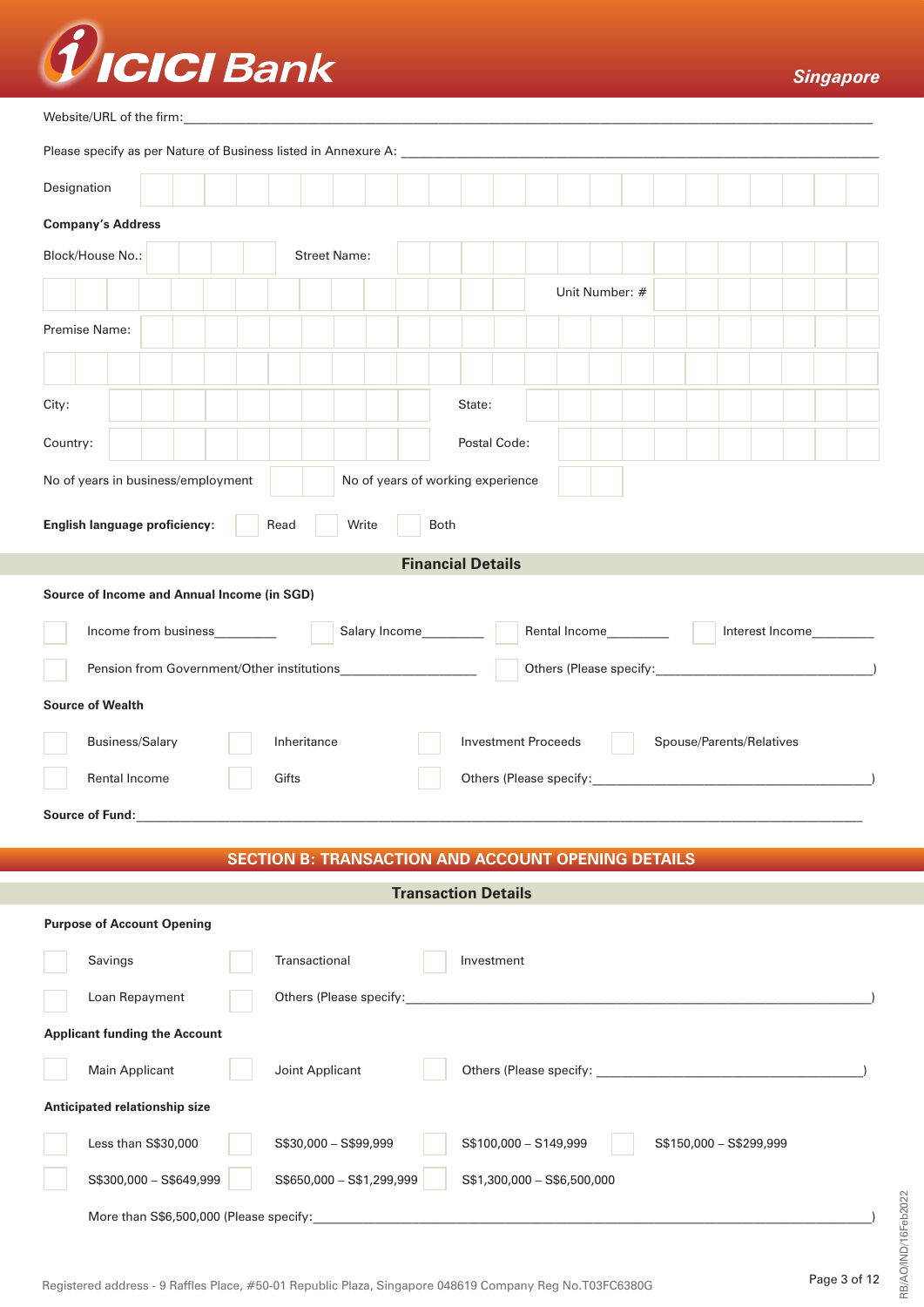

#### Website/URL of the firm:

|                                             | Designation                                                                        |  |  |                                                           |       |                           |  |  |  |                            |                             |                |  |  |                          |  |  |
|---------------------------------------------|------------------------------------------------------------------------------------|--|--|-----------------------------------------------------------|-------|---------------------------|--|--|--|----------------------------|-----------------------------|----------------|--|--|--------------------------|--|--|
|                                             | <b>Company's Address</b>                                                           |  |  |                                                           |       |                           |  |  |  |                            |                             |                |  |  |                          |  |  |
|                                             | Block/House No.:                                                                   |  |  |                                                           |       | <b>Street Name:</b>       |  |  |  |                            |                             |                |  |  |                          |  |  |
|                                             |                                                                                    |  |  |                                                           |       |                           |  |  |  |                            |                             | Unit Number: # |  |  |                          |  |  |
|                                             | Premise Name:                                                                      |  |  |                                                           |       |                           |  |  |  |                            |                             |                |  |  |                          |  |  |
| City:                                       |                                                                                    |  |  |                                                           |       |                           |  |  |  | State:                     |                             |                |  |  |                          |  |  |
| Country:                                    |                                                                                    |  |  |                                                           |       |                           |  |  |  |                            | Postal Code:                |                |  |  |                          |  |  |
|                                             | No of years in business/employment<br>No of years of working experience            |  |  |                                                           |       |                           |  |  |  |                            |                             |                |  |  |                          |  |  |
|                                             | English language proficiency:<br>Read<br>Both<br>Write                             |  |  |                                                           |       |                           |  |  |  |                            |                             |                |  |  |                          |  |  |
| <b>Financial Details</b>                    |                                                                                    |  |  |                                                           |       |                           |  |  |  |                            |                             |                |  |  |                          |  |  |
| Source of Income and Annual Income (in SGD) |                                                                                    |  |  |                                                           |       |                           |  |  |  |                            |                             |                |  |  |                          |  |  |
|                                             | Salary Income<br>Rental Income_________<br>Income from business<br>Interest Income |  |  |                                                           |       |                           |  |  |  |                            |                             |                |  |  |                          |  |  |
|                                             |                                                                                    |  |  |                                                           |       |                           |  |  |  |                            |                             |                |  |  |                          |  |  |
|                                             | <b>Source of Wealth</b>                                                            |  |  |                                                           |       |                           |  |  |  |                            |                             |                |  |  |                          |  |  |
|                                             | Business/Salary                                                                    |  |  |                                                           |       | Inheritance               |  |  |  |                            | <b>Investment Proceeds</b>  |                |  |  | Spouse/Parents/Relatives |  |  |
|                                             | Rental Income                                                                      |  |  |                                                           | Gifts |                           |  |  |  |                            |                             |                |  |  |                          |  |  |
|                                             | Source of Fund:                                                                    |  |  |                                                           |       |                           |  |  |  |                            |                             |                |  |  |                          |  |  |
|                                             |                                                                                    |  |  | <b>SECTION B: TRANSACTION AND ACCOUNT OPENING DETAILS</b> |       |                           |  |  |  |                            |                             |                |  |  |                          |  |  |
|                                             |                                                                                    |  |  |                                                           |       |                           |  |  |  | <b>Transaction Details</b> |                             |                |  |  |                          |  |  |
|                                             | <b>Purpose of Account Opening</b>                                                  |  |  |                                                           |       |                           |  |  |  |                            |                             |                |  |  |                          |  |  |
|                                             | Transactional<br>Savings<br>Investment                                             |  |  |                                                           |       |                           |  |  |  |                            |                             |                |  |  |                          |  |  |
|                                             | Loan Repayment                                                                     |  |  |                                                           |       |                           |  |  |  |                            |                             |                |  |  |                          |  |  |
| <b>Applicant funding the Account</b>        |                                                                                    |  |  |                                                           |       |                           |  |  |  |                            |                             |                |  |  |                          |  |  |
|                                             | Main Applicant<br>Joint Applicant                                                  |  |  |                                                           |       |                           |  |  |  |                            |                             |                |  |  |                          |  |  |
|                                             | Anticipated relationship size                                                      |  |  |                                                           |       |                           |  |  |  |                            |                             |                |  |  |                          |  |  |
|                                             | Less than S\$30,000                                                                |  |  |                                                           |       | S\$30,000 - S\$99,999     |  |  |  |                            | S\$100,000 - S149,999       |                |  |  | S\$150,000 - S\$299,999  |  |  |
|                                             | S\$300,000 - S\$649,999                                                            |  |  |                                                           |       | S\$650,000 - S\$1,299,999 |  |  |  |                            | S\$1,300,000 - S\$6,500,000 |                |  |  |                          |  |  |
|                                             | More than S\$6,500,000 (Please specify:                                            |  |  |                                                           |       |                           |  |  |  |                            |                             |                |  |  |                          |  |  |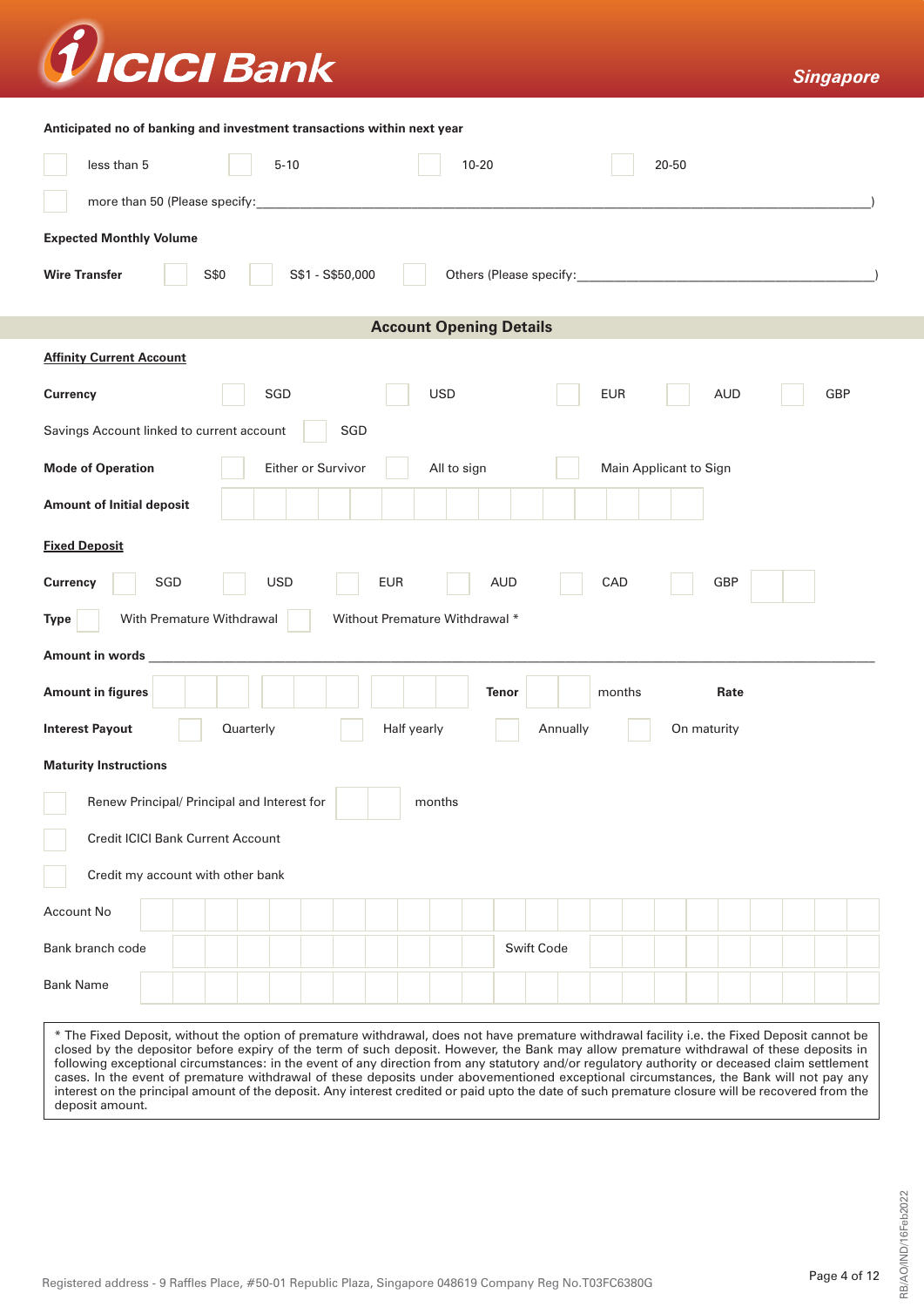

| Anticipated no of banking and investment transactions within next year |
|------------------------------------------------------------------------|
|------------------------------------------------------------------------|

| Antiopated no or banking and investment transactions within next year<br>less than 5<br>$5 - 10$                                                                                                                                                                                                                                                                                                                                                                                                                                                                                                                                                                                                                                                               | $10 - 20$               | 20-50                    |     |  |  |  |  |  |
|----------------------------------------------------------------------------------------------------------------------------------------------------------------------------------------------------------------------------------------------------------------------------------------------------------------------------------------------------------------------------------------------------------------------------------------------------------------------------------------------------------------------------------------------------------------------------------------------------------------------------------------------------------------------------------------------------------------------------------------------------------------|-------------------------|--------------------------|-----|--|--|--|--|--|
| more than 50 (Please specify:                                                                                                                                                                                                                                                                                                                                                                                                                                                                                                                                                                                                                                                                                                                                  |                         |                          |     |  |  |  |  |  |
| <b>Expected Monthly Volume</b>                                                                                                                                                                                                                                                                                                                                                                                                                                                                                                                                                                                                                                                                                                                                 |                         |                          |     |  |  |  |  |  |
| S\$1 - S\$50,000<br>S\$0<br><b>Wire Transfer</b>                                                                                                                                                                                                                                                                                                                                                                                                                                                                                                                                                                                                                                                                                                               |                         |                          |     |  |  |  |  |  |
| <b>Account Opening Details</b>                                                                                                                                                                                                                                                                                                                                                                                                                                                                                                                                                                                                                                                                                                                                 |                         |                          |     |  |  |  |  |  |
| <b>Affinity Current Account</b>                                                                                                                                                                                                                                                                                                                                                                                                                                                                                                                                                                                                                                                                                                                                |                         |                          |     |  |  |  |  |  |
| SGD<br><b>Currency</b>                                                                                                                                                                                                                                                                                                                                                                                                                                                                                                                                                                                                                                                                                                                                         | <b>USD</b>              | <b>EUR</b><br><b>AUD</b> | GBP |  |  |  |  |  |
| Savings Account linked to current account<br>SGD                                                                                                                                                                                                                                                                                                                                                                                                                                                                                                                                                                                                                                                                                                               |                         |                          |     |  |  |  |  |  |
| Either or Survivor<br><b>Mode of Operation</b>                                                                                                                                                                                                                                                                                                                                                                                                                                                                                                                                                                                                                                                                                                                 | All to sign             | Main Applicant to Sign   |     |  |  |  |  |  |
| <b>Amount of Initial deposit</b>                                                                                                                                                                                                                                                                                                                                                                                                                                                                                                                                                                                                                                                                                                                               |                         |                          |     |  |  |  |  |  |
| <b>Fixed Deposit</b>                                                                                                                                                                                                                                                                                                                                                                                                                                                                                                                                                                                                                                                                                                                                           |                         |                          |     |  |  |  |  |  |
| SGD<br><b>USD</b><br><b>EUR</b><br><b>AUD</b><br>CAD<br>GBP<br>Currency                                                                                                                                                                                                                                                                                                                                                                                                                                                                                                                                                                                                                                                                                        |                         |                          |     |  |  |  |  |  |
| With Premature Withdrawal<br>Without Premature Withdrawal *<br>Type                                                                                                                                                                                                                                                                                                                                                                                                                                                                                                                                                                                                                                                                                            |                         |                          |     |  |  |  |  |  |
| Amount in words                                                                                                                                                                                                                                                                                                                                                                                                                                                                                                                                                                                                                                                                                                                                                |                         |                          |     |  |  |  |  |  |
| <b>Amount in figures</b>                                                                                                                                                                                                                                                                                                                                                                                                                                                                                                                                                                                                                                                                                                                                       | Tenor                   | Rate<br>months           |     |  |  |  |  |  |
| Quarterly<br><b>Interest Payout</b>                                                                                                                                                                                                                                                                                                                                                                                                                                                                                                                                                                                                                                                                                                                            | Half yearly<br>Annually | On maturity              |     |  |  |  |  |  |
| <b>Maturity Instructions</b>                                                                                                                                                                                                                                                                                                                                                                                                                                                                                                                                                                                                                                                                                                                                   |                         |                          |     |  |  |  |  |  |
| Renew Principal/ Principal and Interest for                                                                                                                                                                                                                                                                                                                                                                                                                                                                                                                                                                                                                                                                                                                    | months                  |                          |     |  |  |  |  |  |
| <b>Credit ICICI Bank Current Account</b>                                                                                                                                                                                                                                                                                                                                                                                                                                                                                                                                                                                                                                                                                                                       |                         |                          |     |  |  |  |  |  |
| Credit my account with other bank                                                                                                                                                                                                                                                                                                                                                                                                                                                                                                                                                                                                                                                                                                                              |                         |                          |     |  |  |  |  |  |
| Account No                                                                                                                                                                                                                                                                                                                                                                                                                                                                                                                                                                                                                                                                                                                                                     |                         |                          |     |  |  |  |  |  |
| Bank branch code                                                                                                                                                                                                                                                                                                                                                                                                                                                                                                                                                                                                                                                                                                                                               | Swift Code              |                          |     |  |  |  |  |  |
| <b>Bank Name</b>                                                                                                                                                                                                                                                                                                                                                                                                                                                                                                                                                                                                                                                                                                                                               |                         |                          |     |  |  |  |  |  |
| * The Fixed Deposit, without the option of premature withdrawal, does not have premature withdrawal facility i.e. the Fixed Deposit cannot be<br>closed by the depositor before expiry of the term of such deposit. However, the Bank may allow premature withdrawal of these deposits in<br>following exceptional circumstances: in the event of any direction from any statutory and/or regulatory authority or deceased claim settlement<br>cases. In the event of premature withdrawal of these deposits under abovementioned exceptional circumstances, the Bank will not pay any<br>interest on the principal amount of the deposit. Any interest credited or paid upto the date of such premature closure will be recovered from the<br>deposit amount. |                         |                          |     |  |  |  |  |  |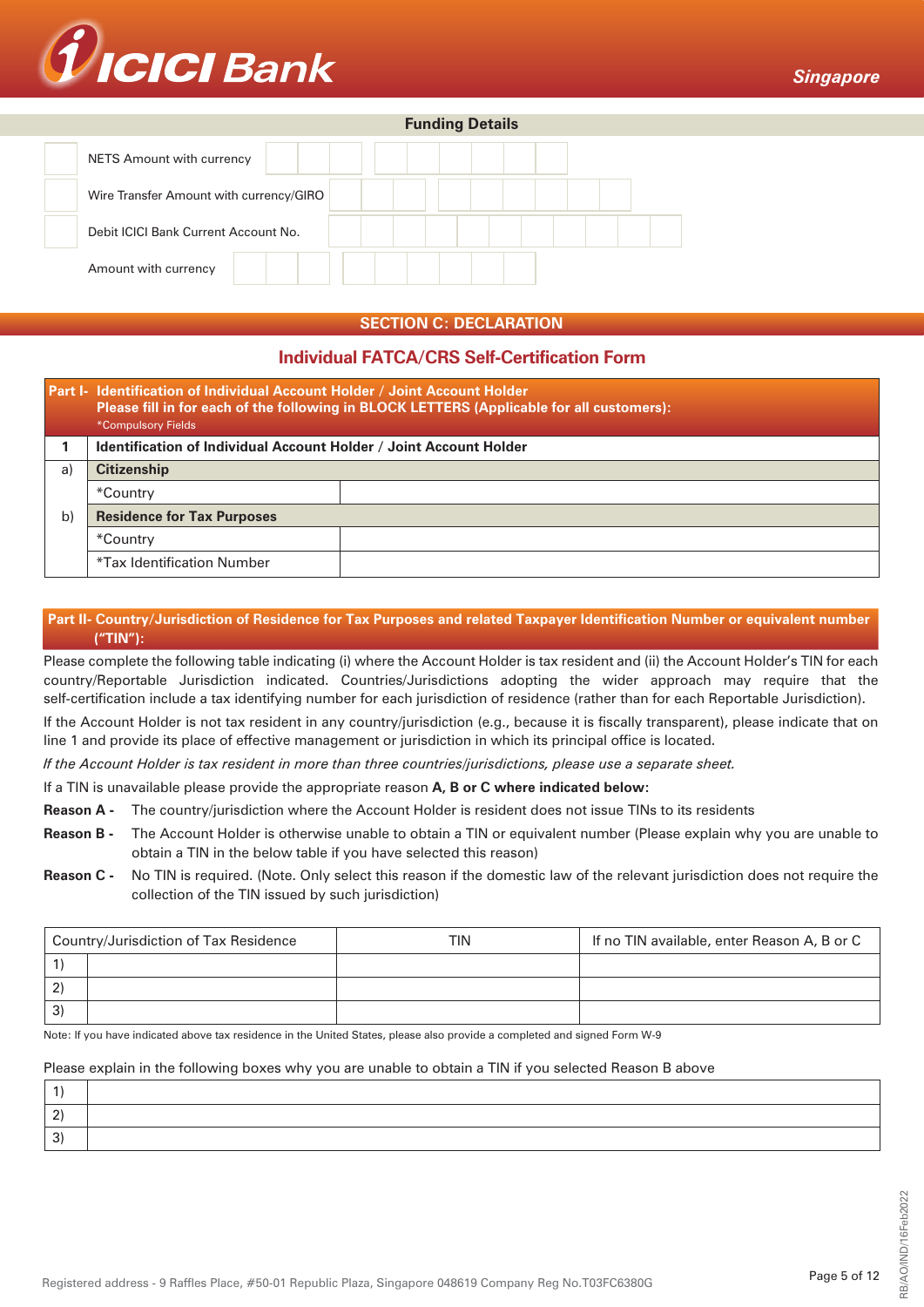

|                                         | <b>Funding Details</b> |  |
|-----------------------------------------|------------------------|--|
| NETS Amount with currency               |                        |  |
| Wire Transfer Amount with currency/GIRO |                        |  |
| Debit ICICI Bank Current Account No.    |                        |  |
| Amount with currency                    |                        |  |

# **SECTION C: DECLARATION**

# **Individual FATCA/CRS Self-Certification Form**

|                                         | Part I- Identification of Individual Account Holder / Joint Account Holder<br>Please fill in for each of the following in BLOCK LETTERS (Applicable for all customers):<br>*Compulsory Fields |  |  |  |  |  |  |  |  |
|-----------------------------------------|-----------------------------------------------------------------------------------------------------------------------------------------------------------------------------------------------|--|--|--|--|--|--|--|--|
|                                         | <b>Identification of Individual Account Holder / Joint Account Holder</b>                                                                                                                     |  |  |  |  |  |  |  |  |
| a)                                      | <b>Citizenship</b>                                                                                                                                                                            |  |  |  |  |  |  |  |  |
|                                         | *Country                                                                                                                                                                                      |  |  |  |  |  |  |  |  |
| b)<br><b>Residence for Tax Purposes</b> |                                                                                                                                                                                               |  |  |  |  |  |  |  |  |
|                                         | *Country                                                                                                                                                                                      |  |  |  |  |  |  |  |  |
|                                         | *Tax Identification Number                                                                                                                                                                    |  |  |  |  |  |  |  |  |

# **Part II- Country/Jurisdiction of Residence for Tax Purposes and related Taxpayer Identification Number or equivalent number ("TIN"):**

Please complete the following table indicating (i) where the Account Holder is tax resident and (ii) the Account Holder's TIN for each country/Reportable Jurisdiction indicated. Countries/Jurisdictions adopting the wider approach may require that the self-certification include a tax identifying number for each jurisdiction of residence (rather than for each Reportable Jurisdiction).

If the Account Holder is not tax resident in any country/jurisdiction (e.g., because it is fiscally transparent), please indicate that on line 1 and provide its place of effective management or jurisdiction in which its principal office is located.

*If the Account Holder is tax resident in more than three countries/jurisdictions, please use a separate sheet.*

### If a TIN is unavailable please provide the appropriate reason **A, B or C where indicated below:**

- **Reason A** The country/jurisdiction where the Account Holder is resident does not issue TINs to its residents
- **Reason B -** The Account Holder is otherwise unable to obtain a TIN or equivalent number (Please explain why you are unable to obtain a TIN in the below table if you have selected this reason)
- **Reason C -** No TIN is required. (Note. Only select this reason if the domestic law of the relevant jurisdiction does not require the collection of the TIN issued by such jurisdiction)

|    | Country/Jurisdiction of Tax Residence | TIN | If no TIN available, enter Reason A, B or C |
|----|---------------------------------------|-----|---------------------------------------------|
|    |                                       |     |                                             |
|    |                                       |     |                                             |
| 3' |                                       |     |                                             |

Note: If you have indicated above tax residence in the United States, please also provide a completed and signed Form W-9

#### Please explain in the following boxes why you are unable to obtain a TIN if you selected Reason B above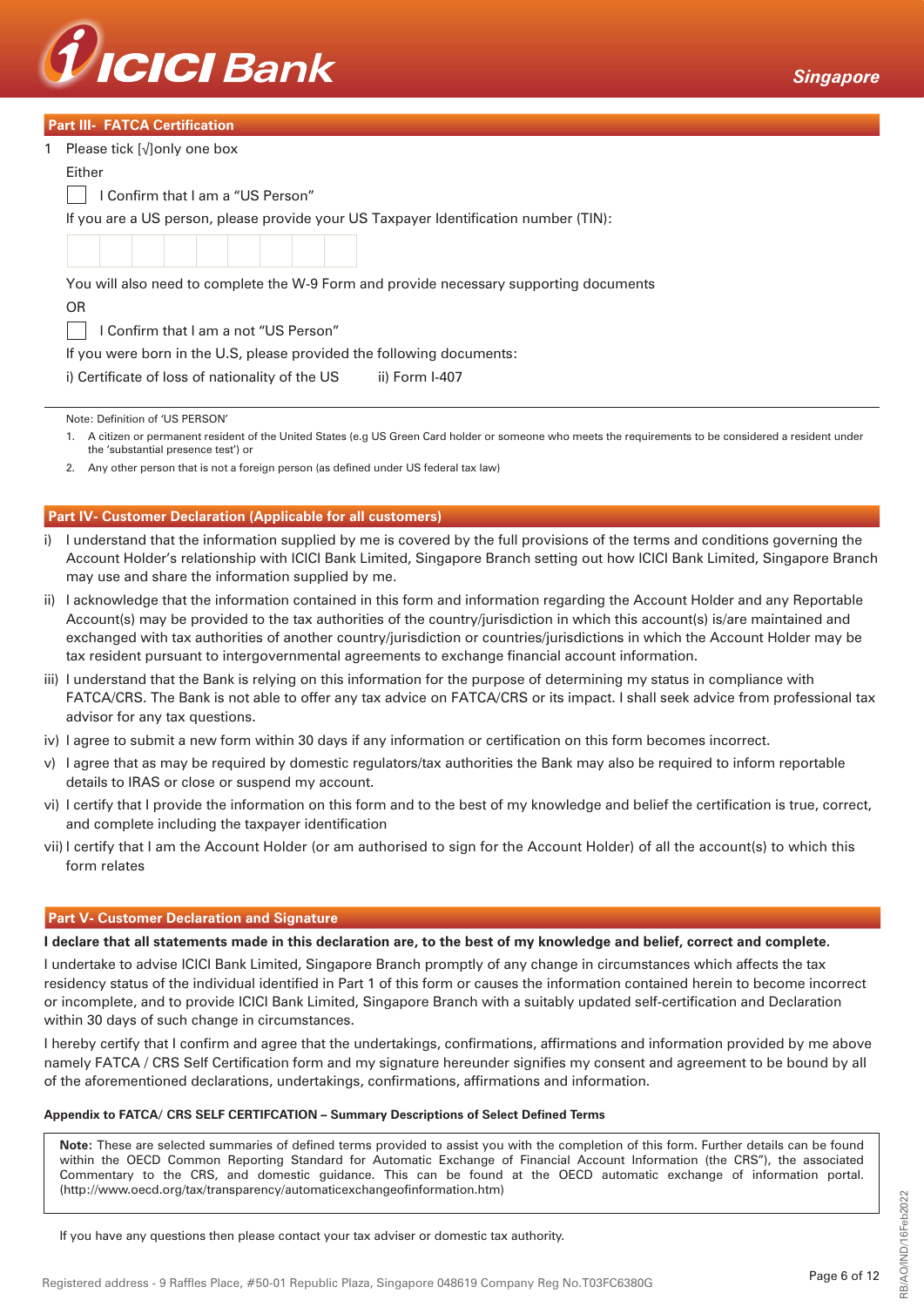

| <b>Part III- FATCA Certification</b> |  |  |  |
|--------------------------------------|--|--|--|
|                                      |  |  |  |

|                                                                                        | $\sim$ and the transport of the control of $\sim$                                    |  |  |  |  |  |  |  |
|----------------------------------------------------------------------------------------|--------------------------------------------------------------------------------------|--|--|--|--|--|--|--|
|                                                                                        | 1 Please tick [√]only one box                                                        |  |  |  |  |  |  |  |
|                                                                                        | Either                                                                               |  |  |  |  |  |  |  |
| I Confirm that I am a "US Person"                                                      |                                                                                      |  |  |  |  |  |  |  |
|                                                                                        | If you are a US person, please provide your US Taxpayer Identification number (TIN): |  |  |  |  |  |  |  |
|                                                                                        |                                                                                      |  |  |  |  |  |  |  |
| You will also need to complete the W-9 Form and provide necessary supporting documents |                                                                                      |  |  |  |  |  |  |  |
|                                                                                        | OR.                                                                                  |  |  |  |  |  |  |  |
|                                                                                        | I Confirm that I am a not "US Person"                                                |  |  |  |  |  |  |  |
|                                                                                        | If you were born in the U.S, please provided the following documents:                |  |  |  |  |  |  |  |
|                                                                                        | i) Certificate of loss of nationality of the US<br>ii) Form I-407                    |  |  |  |  |  |  |  |
|                                                                                        |                                                                                      |  |  |  |  |  |  |  |
|                                                                                        | Note: Definition of 'US PERSON'                                                      |  |  |  |  |  |  |  |

 1. A citizen or permanent resident of the United States (e.g US Green Card holder or someone who meets the requirements to be considered a resident under the 'substantial presence test') or

2. Any other person that is not a foreign person (as defined under US federal tax law)

### **Part IV- Customer Declaration (Applicable for all customers)**

- i) I understand that the information supplied by me is covered by the full provisions of the terms and conditions governing the Account Holder's relationship with ICICI Bank Limited, Singapore Branch setting out how ICICI Bank Limited, Singapore Branch may use and share the information supplied by me.
- ii) I acknowledge that the information contained in this form and information regarding the Account Holder and any Reportable Account(s) may be provided to the tax authorities of the country/jurisdiction in which this account(s) is/are maintained and exchanged with tax authorities of another country/jurisdiction or countries/jurisdictions in which the Account Holder may be tax resident pursuant to intergovernmental agreements to exchange financial account information.
- iii) I understand that the Bank is relying on this information for the purpose of determining my status in compliance with FATCA/CRS. The Bank is not able to offer any tax advice on FATCA/CRS or its impact. I shall seek advice from professional tax advisor for any tax questions.
- iv) I agree to submit a new form within 30 days if any information or certification on this form becomes incorrect.
- v) I agree that as may be required by domestic regulators/tax authorities the Bank may also be required to inform reportable details to IRAS or close or suspend my account.
- vi) I certify that I provide the information on this form and to the best of my knowledge and belief the certification is true, correct, and complete including the taxpayer identification
- vii) I certify that I am the Account Holder (or am authorised to sign for the Account Holder) of all the account(s) to which this form relates

#### **Part V- Customer Declaration and Signature**

#### **I declare that all statements made in this declaration are, to the best of my knowledge and belief, correct and complete.**

I undertake to advise ICICI Bank Limited, Singapore Branch promptly of any change in circumstances which affects the tax residency status of the individual identified in Part 1 of this form or causes the information contained herein to become incorrect or incomplete, and to provide ICICI Bank Limited, Singapore Branch with a suitably updated self-certification and Declaration within 30 days of such change in circumstances.

I hereby certify that I confirm and agree that the undertakings, confirmations, affirmations and information provided by me above namely FATCA / CRS Self Certification form and my signature hereunder signifies my consent and agreement to be bound by all of the aforementioned declarations, undertakings, confirmations, affirmations and information.

#### **Appendix to FATCA/ CRS SELF CERTIFCATION – Summary Descriptions of Select Defined Terms**

**Note:** These are selected summaries of defined terms provided to assist you with the completion of this form. Further details can be found within the OECD Common Reporting Standard for Automatic Exchange of Financial Account Information (the CRS"), the associated Commentary to the CRS, and domestic guidance. This can be found at the OECD automatic exchange of information portal. (http://www.oecd.org/tax/transparency/automaticexchangeofinformation.htm)

If you have any questions then please contact your tax adviser or domestic tax authority.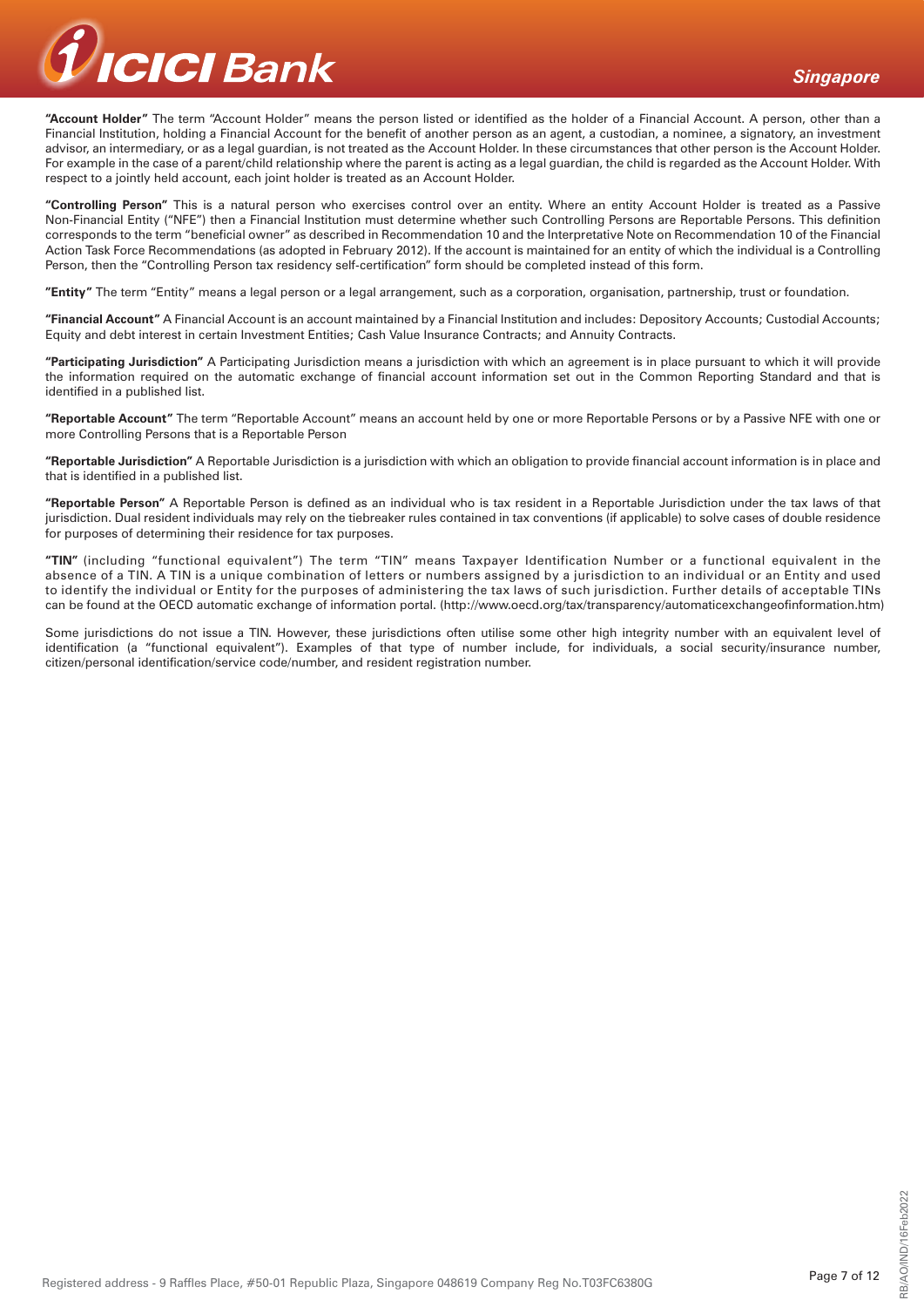

**"Account Holder"** The term "Account Holder" means the person listed or identified as the holder of a Financial Account. A person, other than a Financial Institution, holding a Financial Account for the benefit of another person as an agent, a custodian, a nominee, a signatory, an investment advisor, an intermediary, or as a legal guardian, is not treated as the Account Holder. In these circumstances that other person is the Account Holder. For example in the case of a parent/child relationship where the parent is acting as a legal guardian, the child is regarded as the Account Holder. With respect to a jointly held account, each joint holder is treated as an Account Holder.

**"Controlling Person"** This is a natural person who exercises control over an entity. Where an entity Account Holder is treated as a Passive Non-Financial Entity ("NFE") then a Financial Institution must determine whether such Controlling Persons are Reportable Persons. This definition corresponds to the term "beneficial owner" as described in Recommendation 10 and the Interpretative Note on Recommendation 10 of the Financial Action Task Force Recommendations (as adopted in February 2012). If the account is maintained for an entity of which the individual is a Controlling Person, then the "Controlling Person tax residency self-certification" form should be completed instead of this form.

**"Entity"** The term "Entity" means a legal person or a legal arrangement, such as a corporation, organisation, partnership, trust or foundation.

**"Financial Account"** A Financial Account is an account maintained by a Financial Institution and includes: Depository Accounts; Custodial Accounts; Equity and debt interest in certain Investment Entities; Cash Value Insurance Contracts; and Annuity Contracts.

**"Participating Jurisdiction"** A Participating Jurisdiction means a jurisdiction with which an agreement is in place pursuant to which it will provide the information required on the automatic exchange of financial account information set out in the Common Reporting Standard and that is identified in a published list.

**"Reportable Account"** The term "Reportable Account" means an account held by one or more Reportable Persons or by a Passive NFE with one or more Controlling Persons that is a Reportable Person

**"Reportable Jurisdiction"** A Reportable Jurisdiction is a jurisdiction with which an obligation to provide financial account information is in place and that is identified in a published list.

**"Reportable Person"** A Reportable Person is defined as an individual who is tax resident in a Reportable Jurisdiction under the tax laws of that jurisdiction. Dual resident individuals may rely on the tiebreaker rules contained in tax conventions (if applicable) to solve cases of double residence for purposes of determining their residence for tax purposes.

**"TIN"** (including "functional equivalent") The term "TIN" means Taxpayer Identification Number or a functional equivalent in the absence of a TIN. A TIN is a unique combination of letters or numbers assigned by a jurisdiction to an individual or an Entity and used to identify the individual or Entity for the purposes of administering the tax laws of such jurisdiction. Further details of acceptable TINs can be found at the OECD automatic exchange of information portal. (http://www.oecd.org/tax/transparency/automaticexchangeofinformation.htm)

Some jurisdictions do not issue a TIN. However, these jurisdictions often utilise some other high integrity number with an equivalent level of identification (a "functional equivalent"). Examples of that type of number include, for individuals, a social security/insurance number, citizen/personal identification/service code/number, and resident registration number.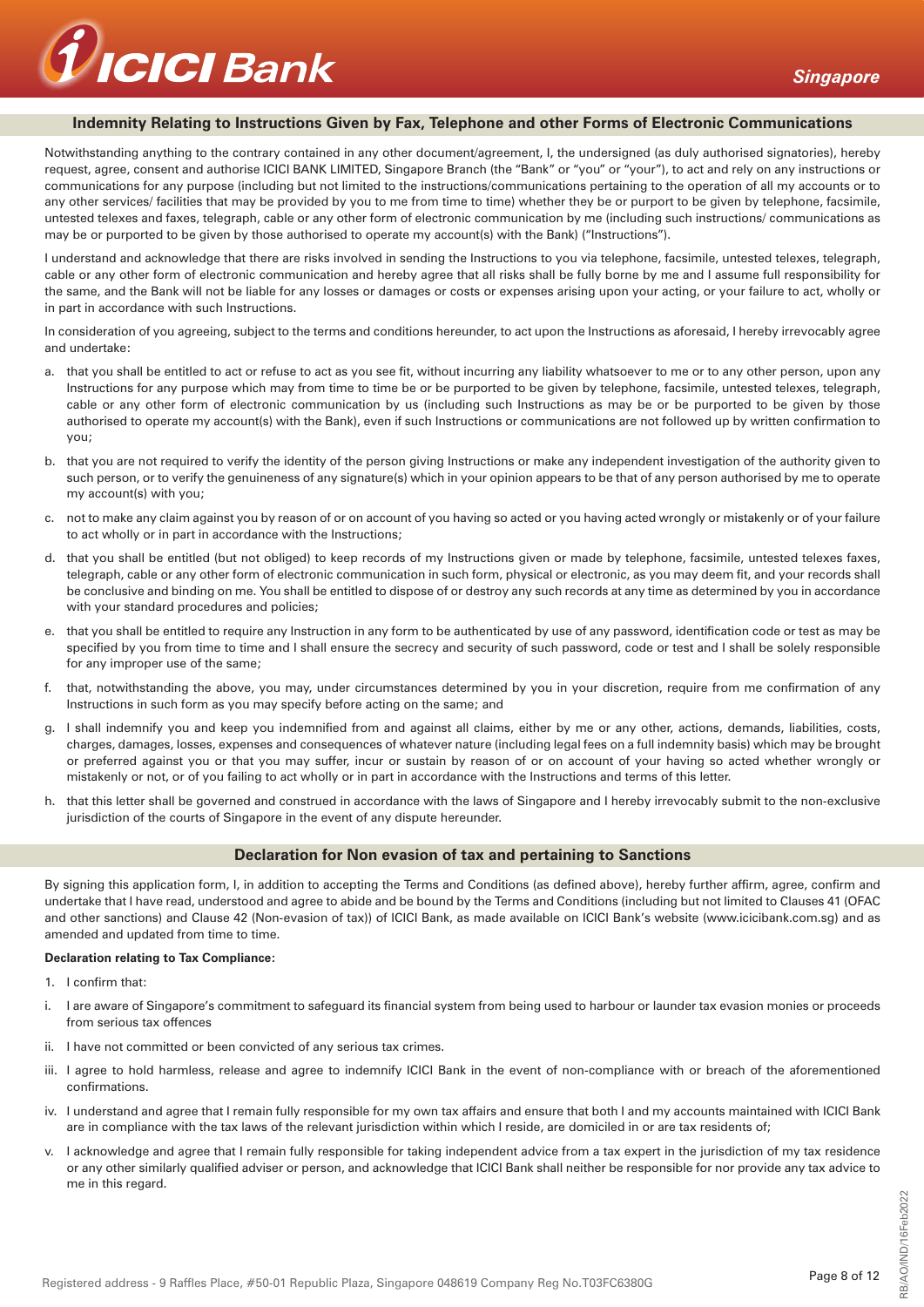

### **Indemnity Relating to Instructions Given by Fax, Telephone and other Forms of Electronic Communications**

Notwithstanding anything to the contrary contained in any other document/agreement. I, the undersigned (as duly authorised signatories), hereby request, agree, consent and authorise ICICI BANK LIMITED, Singapore Branch (the "Bank" or "you" or "your"), to act and rely on any instructions or communications for any purpose (including but not limited to the instructions/communications pertaining to the operation of all my accounts or to any other services/ facilities that may be provided by you to me from time to time) whether they be or purport to be given by telephone, facsimile, untested telexes and faxes, telegraph, cable or any other form of electronic communication by me (including such instructions/ communications as may be or purported to be given by those authorised to operate my account(s) with the Bank) ("Instructions").

I understand and acknowledge that there are risks involved in sending the Instructions to you via telephone, facsimile, untested telexes, telegraph, cable or any other form of electronic communication and hereby agree that all risks shall be fully borne by me and I assume full responsibility for the same, and the Bank will not be liable for any losses or damages or costs or expenses arising upon your acting, or your failure to act, wholly or in part in accordance with such Instructions.

In consideration of you agreeing, subject to the terms and conditions hereunder, to act upon the Instructions as aforesaid, I hereby irrevocably agree and undertake:

- a. that you shall be entitled to act or refuse to act as you see fit, without incurring any liability whatsoever to me or to any other person, upon any Instructions for any purpose which may from time to time be or be purported to be given by telephone, facsimile, untested telexes, telegraph, cable or any other form of electronic communication by us (including such Instructions as may be or be purported to be given by those authorised to operate my account(s) with the Bank), even if such Instructions or communications are not followed up by written confirmation to you;
- b. that you are not required to verify the identity of the person giving Instructions or make any independent investigation of the authority given to such person, or to verify the genuineness of any signature(s) which in your opinion appears to be that of any person authorised by me to operate my account(s) with you;
- c. not to make any claim against you by reason of or on account of you having so acted or you having acted wrongly or mistakenly or of your failure to act wholly or in part in accordance with the Instructions;
- d. that you shall be entitled (but not obliged) to keep records of my Instructions given or made by telephone, facsimile, untested telexes faxes, telegraph, cable or any other form of electronic communication in such form, physical or electronic, as you may deem fit, and your records shall be conclusive and binding on me. You shall be entitled to dispose of or destroy any such records at any time as determined by you in accordance with your standard procedures and policies;
- e. that you shall be entitled to require any Instruction in any form to be authenticated by use of any password, identification code or test as may be specified by you from time to time and I shall ensure the secrecy and security of such password, code or test and I shall be solely responsible for any improper use of the same;
- f. that, notwithstanding the above, you may, under circumstances determined by you in your discretion, require from me confirmation of any Instructions in such form as you may specify before acting on the same; and
- g. I shall indemnify you and keep you indemnified from and against all claims, either by me or any other, actions, demands, liabilities, costs, charges, damages, losses, expenses and consequences of whatever nature (including legal fees on a full indemnity basis) which may be brought or preferred against you or that you may suffer, incur or sustain by reason of or on account of your having so acted whether wrongly or mistakenly or not, or of you failing to act wholly or in part in accordance with the Instructions and terms of this letter.
- h. that this letter shall be governed and construed in accordance with the laws of Singapore and I hereby irrevocably submit to the non-exclusive jurisdiction of the courts of Singapore in the event of any dispute hereunder.

### **Declaration for Non evasion of tax and pertaining to Sanctions**

By signing this application form, I, in addition to accepting the Terms and Conditions (as defined above), hereby further affirm, agree, confirm and undertake that I have read, understood and agree to abide and be bound by the Terms and Conditions (including but not limited to Clauses 41 (OFAC and other sanctions) and Clause 42 (Non-evasion of tax)) of ICICI Bank, as made available on ICICI Bank's website (www.icicibank.com.sg) and as amended and updated from time to time.

### **Declaration relating to Tax Compliance:**

- 1. I confirm that:
- i. I are aware of Singapore's commitment to safeguard its financial system from being used to harbour or launder tax evasion monies or proceeds from serious tax offences
- ii. I have not committed or been convicted of any serious tax crimes.
- iii. I agree to hold harmless, release and agree to indemnify ICICI Bank in the event of non-compliance with or breach of the aforementioned confirmations.
- iv. I understand and agree that I remain fully responsible for my own tax affairs and ensure that both I and my accounts maintained with ICICI Bank are in compliance with the tax laws of the relevant jurisdiction within which I reside, are domiciled in or are tax residents of;
- v. I acknowledge and agree that I remain fully responsible for taking independent advice from a tax expert in the jurisdiction of my tax residence or any other similarly qualified adviser or person, and acknowledge that ICICI Bank shall neither be responsible for nor provide any tax advice to me in this regard.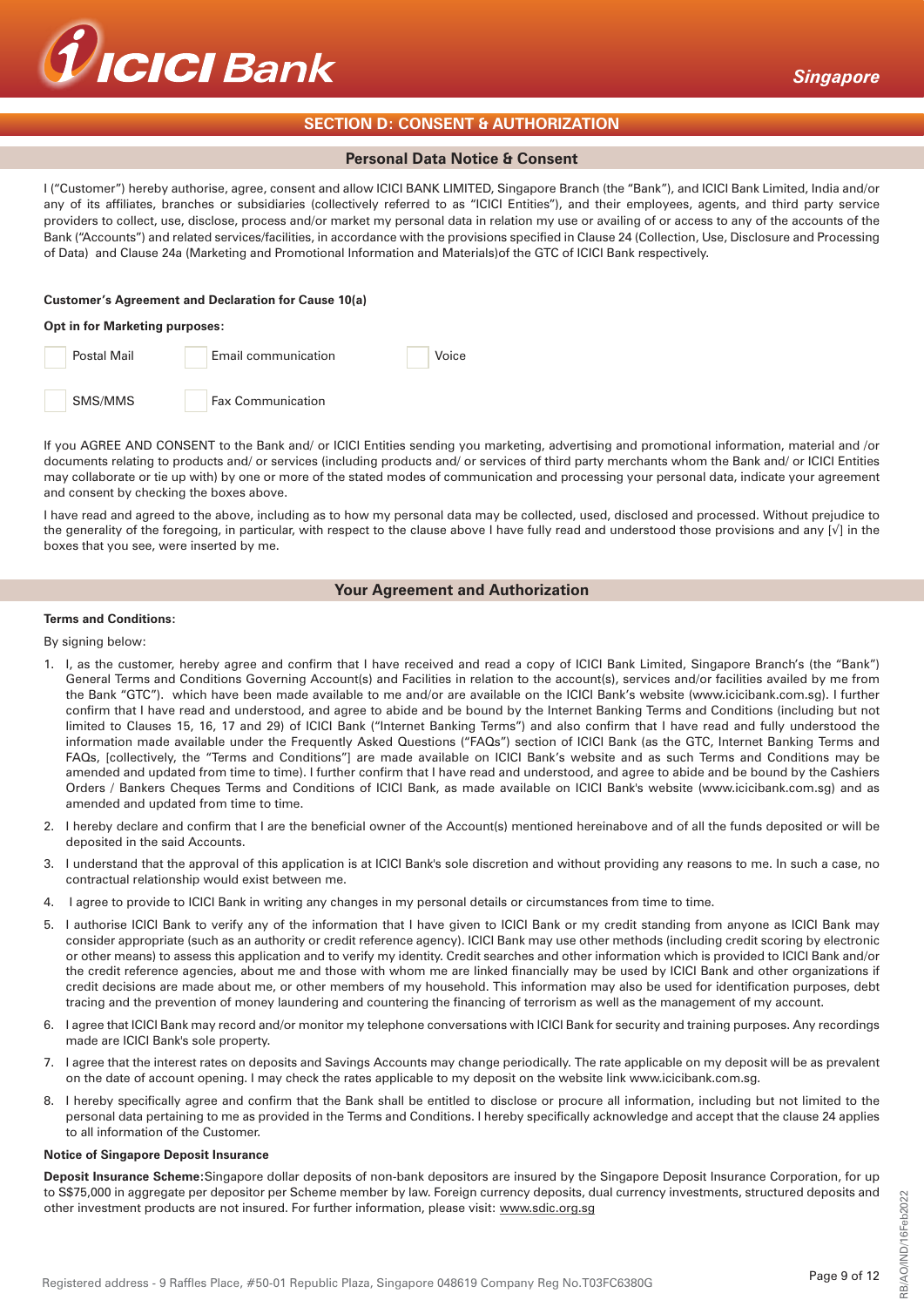

# **SECTION D: CONSENT & AUTHORIZATION**

### **Personal Data Notice & Consent**

I ("Customer") hereby authorise, agree, consent and allow ICICI BANK LIMITED, Singapore Branch (the "Bank"), and ICICI Bank Limited, India and/or any of its affiliates, branches or subsidiaries (collectively referred to as "ICICI Entities"), and their employees, agents, and third party service providers to collect, use, disclose, process and/or market my personal data in relation my use or availing of or access to any of the accounts of the Bank ("Accounts") and related services/facilities, in accordance with the provisions specified in Clause 24 (Collection, Use, Disclosure and Processing of Data) and Clause 24a (Marketing and Promotional Information and Materials)of the GTC of ICICI Bank respectively.

#### **Customer's Agreement and Declaration for Cause 10(a)**

#### **Opt in for Marketing purposes:**



If you AGREE AND CONSENT to the Bank and/ or ICICI Entities sending you marketing, advertising and promotional information, material and /or documents relating to products and/ or services (including products and/ or services of third party merchants whom the Bank and/ or ICICI Entities may collaborate or tie up with) by one or more of the stated modes of communication and processing your personal data, indicate your agreement and consent by checking the boxes above.

I have read and agreed to the above, including as to how my personal data may be collected, used, disclosed and processed. Without prejudice to the generality of the foregoing, in particular, with respect to the clause above I have fully read and understood those provisions and any [√] in the boxes that you see, were inserted by me.

## **Your Agreement and Authorization**

#### **Terms and Conditions:**

By signing below:

- 1. I, as the customer, hereby agree and confirm that I have received and read a copy of ICICI Bank Limited, Singapore Branch's (the "Bank") General Terms and Conditions Governing Account(s) and Facilities in relation to the account(s), services and/or facilities availed by me from the Bank "GTC"). which have been made available to me and/or are available on the ICICI Bank's website (www.icicibank.com.sg). I further confirm that I have read and understood, and agree to abide and be bound by the Internet Banking Terms and Conditions (including but not limited to Clauses 15, 16, 17 and 29) of ICICI Bank ("Internet Banking Terms") and also confirm that I have read and fully understood the information made available under the Frequently Asked Questions ("FAQs") section of ICICI Bank (as the GTC, Internet Banking Terms and FAQs, [collectively, the "Terms and Conditions"] are made available on ICICI Bank's website and as such Terms and Conditions may be amended and updated from time to time). I further confirm that I have read and understood, and agree to abide and be bound by the Cashiers Orders / Bankers Cheques Terms and Conditions of ICICI Bank, as made available on ICICI Bank's website (www.icicibank.com.sg) and as amended and updated from time to time.
- 2. I hereby declare and confirm that I are the beneficial owner of the Account(s) mentioned hereinabove and of all the funds deposited or will be deposited in the said Accounts.
- 3. I understand that the approval of this application is at ICICI Bank's sole discretion and without providing any reasons to me. In such a case, no contractual relationship would exist between me.
- 4. I agree to provide to ICICI Bank in writing any changes in my personal details or circumstances from time to time.
- 5. I authorise ICICI Bank to verify any of the information that I have given to ICICI Bank or my credit standing from anyone as ICICI Bank may consider appropriate (such as an authority or credit reference agency). ICICI Bank may use other methods (including credit scoring by electronic or other means) to assess this application and to verify my identity. Credit searches and other information which is provided to ICICI Bank and/or the credit reference agencies, about me and those with whom me are linked financially may be used by ICICI Bank and other organizations if credit decisions are made about me, or other members of my household. This information may also be used for identification purposes, debt tracing and the prevention of money laundering and countering the financing of terrorism as well as the management of my account.
- 6. I agree that ICICI Bank may record and/or monitor my telephone conversations with ICICI Bank for security and training purposes. Any recordings made are ICICI Bank's sole property.
- 7. I agree that the interest rates on deposits and Savings Accounts may change periodically. The rate applicable on my deposit will be as prevalent on the date of account opening. I may check the rates applicable to my deposit on the website link www.icicibank.com.sg.
- 8. I hereby specifically agree and confirm that the Bank shall be entitled to disclose or procure all information, including but not limited to the personal data pertaining to me as provided in the Terms and Conditions. I hereby specifically acknowledge and accept that the clause 24 applies to all information of the Customer.

#### **Notice of Singapore Deposit Insurance**

**Deposit Insurance Scheme:**Singapore dollar deposits of non-bank depositors are insured by the Singapore Deposit Insurance Corporation, for up to S\$75,000 in aggregate per depositor per Scheme member by law. Foreign currency deposits, dual currency investments, structured deposits and other investment products are not insured. For further information, please visit: www.sdic.org.sg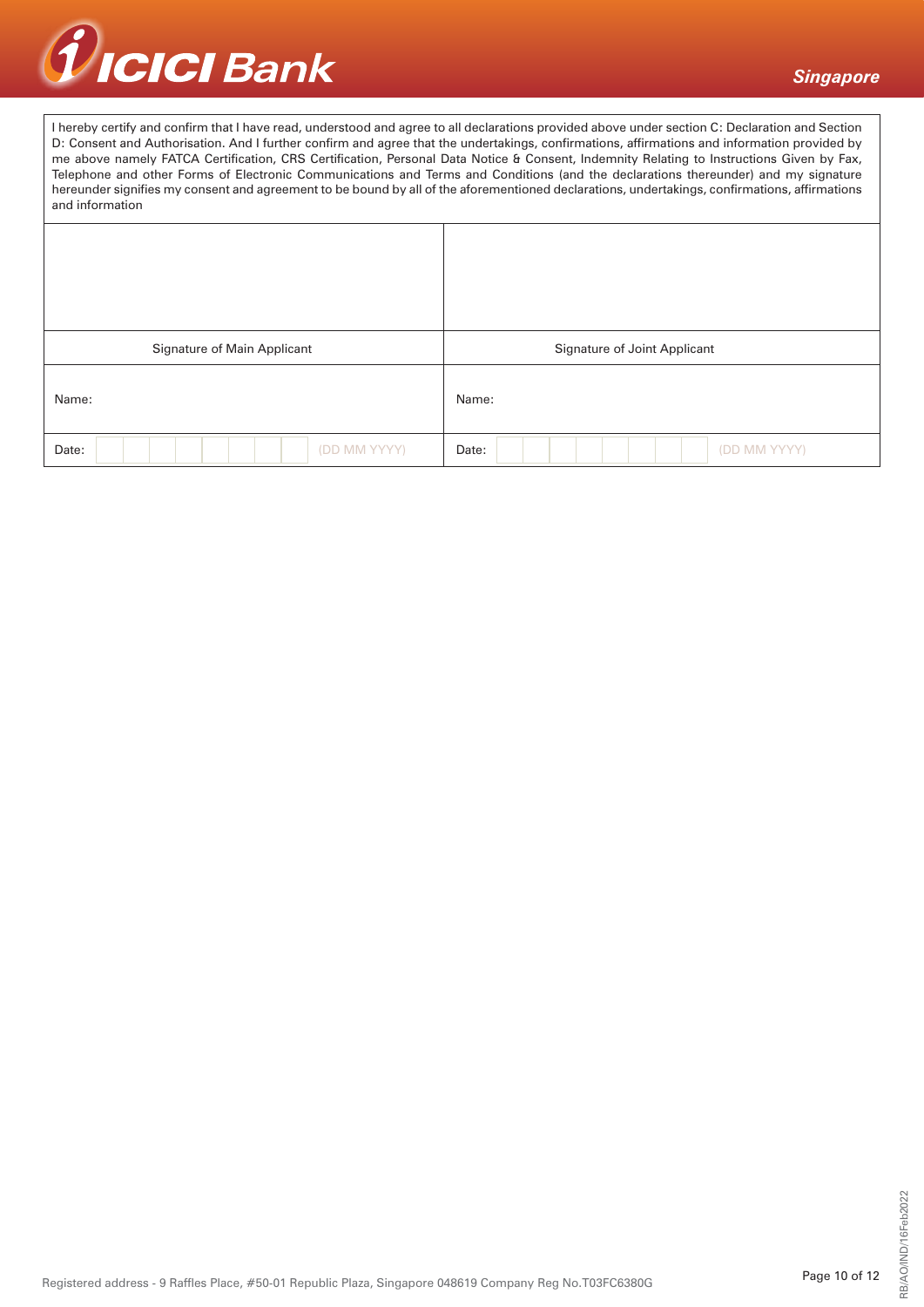

I hereby certify and confirm that I have read, understood and agree to all declarations provided above under section C: Declaration and Section D: Consent and Authorisation. And I further confirm and agree that the undertakings, confirmations, affirmations and information provided by me above namely FATCA Certification, CRS Certification, Personal Data Notice & Consent, Indemnity Relating to Instructions Given by Fax, Telephone and other Forms of Electronic Communications and Terms and Conditions (and the declarations thereunder) and my signature hereunder signifies my consent and agreement to be bound by all of the aforementioned declarations, undertakings, confirmations, affirmations and information

| Signature of Main Applicant | Signature of Joint Applicant |
|-----------------------------|------------------------------|
| Name:                       | Name:                        |
| (DD MM YYYY)<br>Date:       | (DD MM YYYY)<br>Date:        |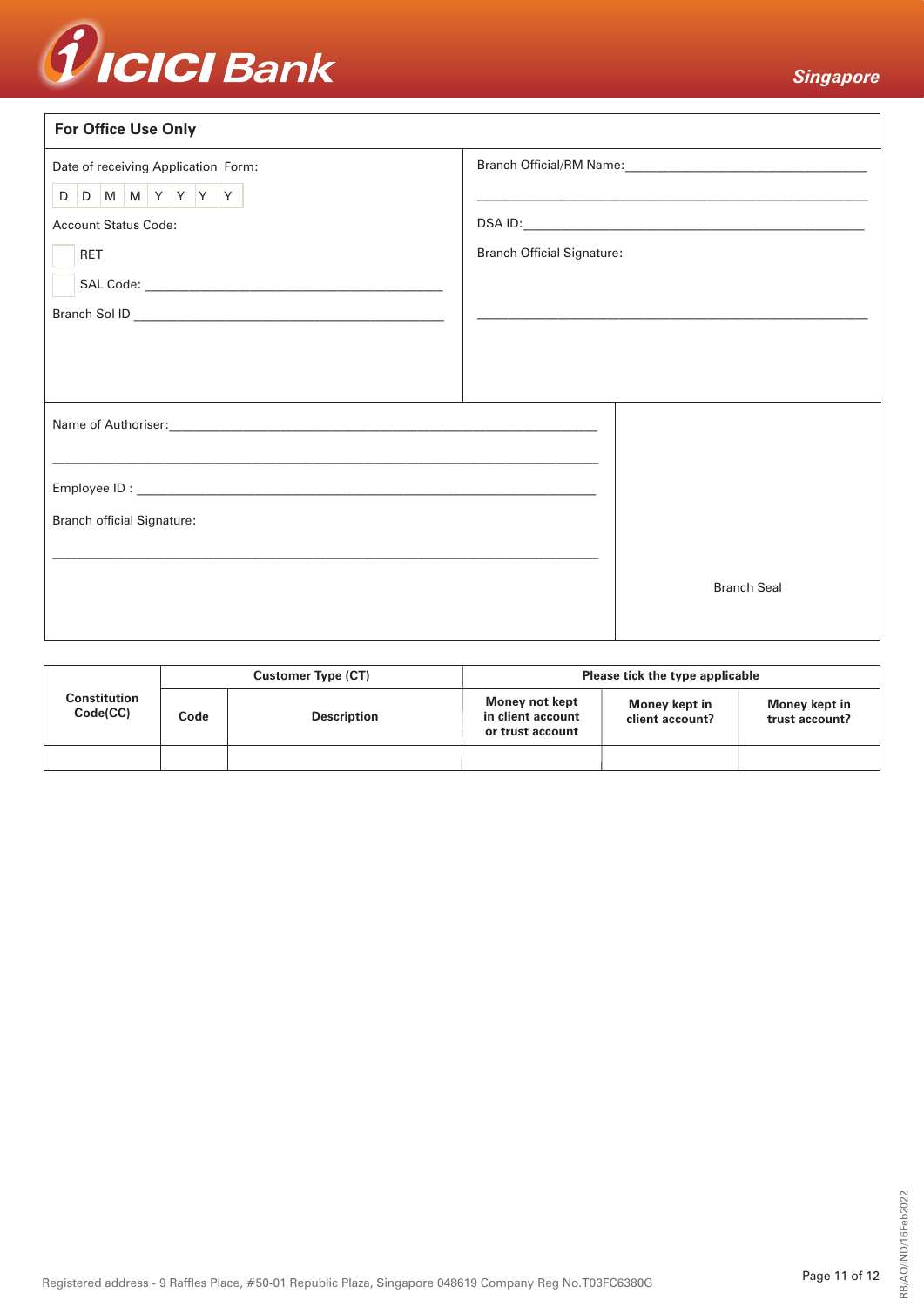

| <b>For Office Use Only</b>                                                                                       |                                   |                                                            |  |  |
|------------------------------------------------------------------------------------------------------------------|-----------------------------------|------------------------------------------------------------|--|--|
| Date of receiving Application Form:                                                                              |                                   |                                                            |  |  |
| D D M M Y Y Y Y Y                                                                                                |                                   | <u> 1989 - Johann Stoff, amerikansk politiker (* 1908)</u> |  |  |
| <b>Account Status Code:</b>                                                                                      |                                   |                                                            |  |  |
| <b>RET</b>                                                                                                       | <b>Branch Official Signature:</b> |                                                            |  |  |
|                                                                                                                  |                                   |                                                            |  |  |
|                                                                                                                  |                                   |                                                            |  |  |
|                                                                                                                  |                                   |                                                            |  |  |
|                                                                                                                  |                                   |                                                            |  |  |
| and the control of the control of the control of the control of the control of the control of the control of the |                                   |                                                            |  |  |
| ,我们也不能在这里的时候,我们也不能在这里的时候,我们也不能会在这里的时候,我们也不能会在这里的时候,我们也不能会在这里的时候,我们也不能会在这里的时候,我们也                                 |                                   |                                                            |  |  |
|                                                                                                                  |                                   |                                                            |  |  |
| <b>Branch official Signature:</b>                                                                                |                                   |                                                            |  |  |
|                                                                                                                  |                                   |                                                            |  |  |
|                                                                                                                  |                                   | <b>Branch Seal</b>                                         |  |  |
|                                                                                                                  |                                   |                                                            |  |  |
|                                                                                                                  |                                   |                                                            |  |  |

| Constitution<br>Code(CC) | <b>Customer Type (CT)</b> |                    | Please tick the type applicable                         |                                  |                                 |
|--------------------------|---------------------------|--------------------|---------------------------------------------------------|----------------------------------|---------------------------------|
|                          | Code                      | <b>Description</b> | Money not kept<br>in client account<br>or trust account | Money kept in<br>client account? | Money kept in<br>trust account? |
|                          |                           |                    |                                                         |                                  |                                 |